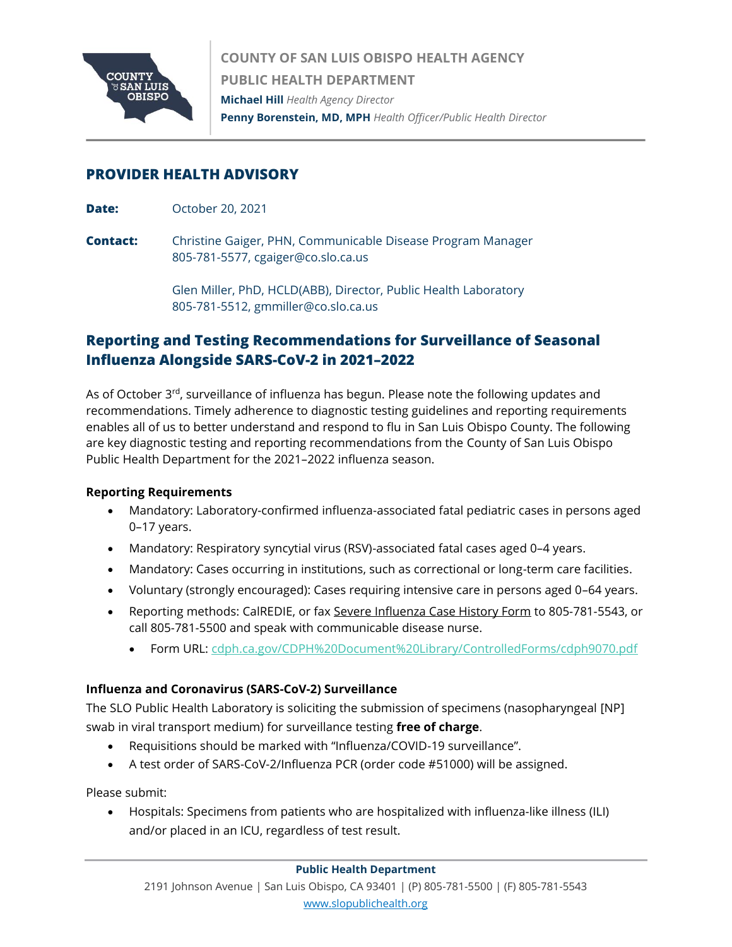

**COUNTY OF SAN LUIS OBISPO HEALTH AGENCY PUBLIC HEALTH DEPARTMENT Michael Hill** *Health Agency Director* **Penny Borenstein, MD, MPH** *Health Officer/Public Health Director*

# **PROVIDER HEALTH ADVISORY**

- **Date:** October 20, 2021
- **Contact:** Christine Gaiger, PHN, Communicable Disease Program Manager 805-781-5577, cgaiger@co.slo.ca.us

Glen Miller, PhD, HCLD(ABB), Director, Public Health Laboratory 805-781-5512, gmmiller@co.slo.ca.us

# **Reporting and Testing Recommendations for Surveillance of Seasonal Influenza Alongside SARS-CoV-2 in 2021–2022**

As of October 3<sup>rd</sup>, surveillance of influenza has begun. Please note the following updates and recommendations. Timely adherence to diagnostic testing guidelines and reporting requirements enables all of us to better understand and respond to flu in San Luis Obispo County. The following are key diagnostic testing and reporting recommendations from the County of San Luis Obispo Public Health Department for the 2021–2022 influenza season.

## **Reporting Requirements**

- Mandatory: Laboratory-confirmed influenza-associated fatal pediatric cases in persons aged 0–17 years.
- Mandatory: Respiratory syncytial virus (RSV)-associated fatal cases aged 0–4 years.
- Mandatory: Cases occurring in institutions, such as correctional or long-term care facilities.
- Voluntary (strongly encouraged): Cases requiring intensive care in persons aged 0–64 years.
- Reporting methods: CalREDIE, or fax [Severe Influenza Case History Form](https://www.cdph.ca.gov/CDPH%20Document%20Library/ControlledForms/cdph9070.pdf) to 805-781-5543, or call 805-781-5500 and speak with communicable disease nurse.
	- Form URL:<cdph.ca.gov/CDPH%20Document%20Library/ControlledForms/cdph9070.pdf>

## **Influenza and Coronavirus (SARS-CoV-2) Surveillance**

The SLO Public Health Laboratory is soliciting the submission of specimens (nasopharyngeal [NP] swab in viral transport medium) for surveillance testing **free of charge**.

- Requisitions should be marked with "Influenza/COVID-19 surveillance".
- A test order of SARS-CoV-2/Influenza PCR (order code #51000) will be assigned.

Please submit:

• Hospitals: Specimens from patients who are hospitalized with influenza-like illness (ILI) and/or placed in an ICU, regardless of test result.

#### **Public Health Department**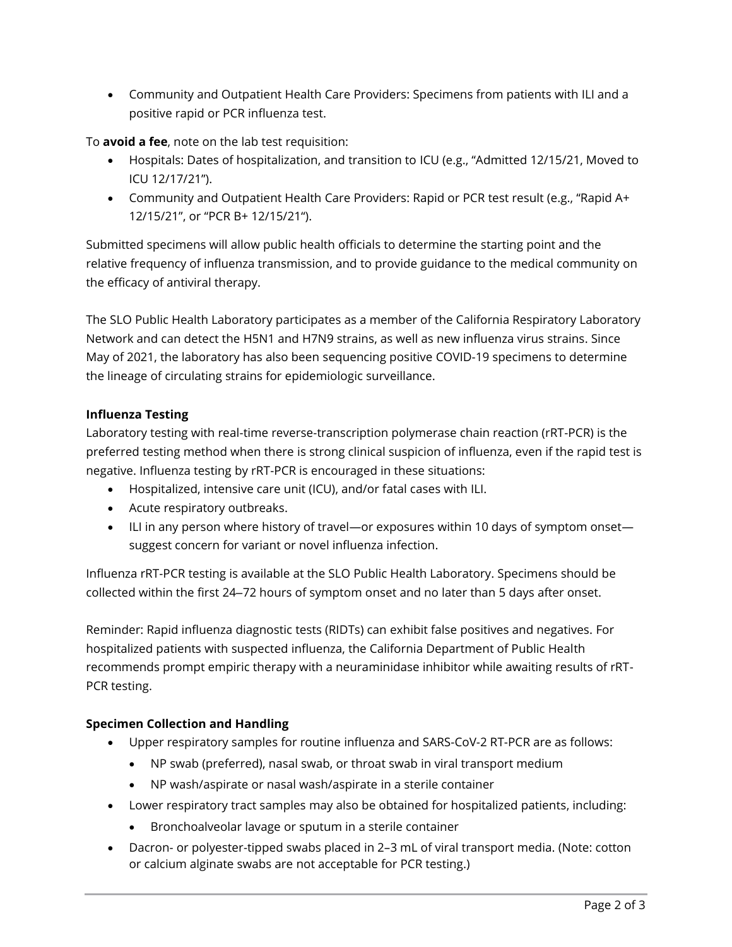• Community and Outpatient Health Care Providers: Specimens from patients with ILI and a positive rapid or PCR influenza test.

To **avoid a fee**, note on the lab test requisition:

- Hospitals: Dates of hospitalization, and transition to ICU (e.g., "Admitted 12/15/21, Moved to ICU 12/17/21").
- Community and Outpatient Health Care Providers: Rapid or PCR test result (e.g., "Rapid A+ 12/15/21", or "PCR B+ 12/15/21").

Submitted specimens will allow public health officials to determine the starting point and the relative frequency of influenza transmission, and to provide guidance to the medical community on the efficacy of antiviral therapy.

The SLO Public Health Laboratory participates as a member of the California Respiratory Laboratory Network and can detect the H5N1 and H7N9 strains, as well as new influenza virus strains. Since May of 2021, the laboratory has also been sequencing positive COVID-19 specimens to determine the lineage of circulating strains for epidemiologic surveillance.

# **Influenza Testing**

Laboratory testing with real-time reverse-transcription polymerase chain reaction (rRT-PCR) is the preferred testing method when there is strong clinical suspicion of influenza, even if the rapid test is negative. Influenza testing by rRT-PCR is encouraged in these situations:

- Hospitalized, intensive care unit (ICU), and/or fatal cases with ILI.
- Acute respiratory outbreaks.
- ILI in any person where history of travel—or exposures within 10 days of symptom onset suggest concern for variant or novel influenza infection.

Influenza rRT-PCR testing is available at the SLO Public Health Laboratory. Specimens should be collected within the first 24–72 hours of symptom onset and no later than 5 days after onset.

Reminder: Rapid influenza diagnostic tests (RIDTs) can exhibit false positives and negatives. For hospitalized patients with suspected influenza, the California Department of Public Health recommends prompt empiric therapy with a neuraminidase inhibitor while awaiting results of rRT-PCR testing.

## **Specimen Collection and Handling**

- Upper respiratory samples for routine influenza and SARS-CoV-2 RT-PCR are as follows:
	- NP swab (preferred), nasal swab, or throat swab in viral transport medium
	- NP wash/aspirate or nasal wash/aspirate in a sterile container
- Lower respiratory tract samples may also be obtained for hospitalized patients, including:
	- Bronchoalveolar lavage or sputum in a sterile container
- Dacron- or polyester-tipped swabs placed in 2–3 mL of viral transport media. (Note: cotton or calcium alginate swabs are not acceptable for PCR testing.)